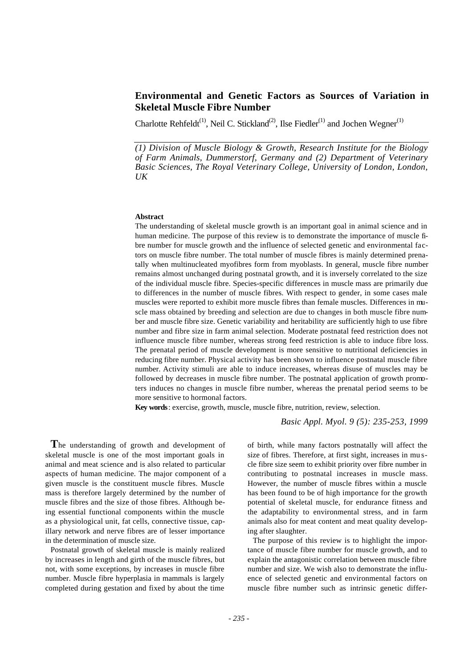# **Environmental and Genetic Factors as Sources of Variation in Skeletal Muscle Fibre Number**

Charlotte Rehfeldt<sup>(1)</sup>, Neil C. Stickland<sup>(2)</sup>, Ilse Fiedler<sup>(1)</sup> and Jochen Wegner<sup>(1)</sup>

*(1) Division of Muscle Biology & Growth, Research Institute for the Biology of Farm Animals, Dummerstorf, Germany and (2) Department of Veterinary Basic Sciences, The Royal Veterinary College, University of London, London, UK*

#### **Abstract**

The understanding of skeletal muscle growth is an important goal in animal science and in human medicine. The purpose of this review is to demonstrate the importance of muscle fibre number for muscle growth and the influence of selected genetic and environmental factors on muscle fibre number. The total number of muscle fibres is mainly determined prenatally when multinucleated myofibres form from myoblasts. In general, muscle fibre number remains almost unchanged during postnatal growth, and it is inversely correlated to the size of the individual muscle fibre. Species-specific differences in muscle mass are primarily due to differences in the number of muscle fibres. With respect to gender, in some cases male muscles were reported to exhibit more muscle fibres than female muscles. Differences in muscle mass obtained by breeding and selection are due to changes in both muscle fibre number and muscle fibre size. Genetic variability and heritability are sufficiently high to use fibre number and fibre size in farm animal selection. Moderate postnatal feed restriction does not influence muscle fibre number, whereas strong feed restriction is able to induce fibre loss. The prenatal period of muscle development is more sensitive to nutritional deficiencies in reducing fibre number. Physical activity has been shown to influence postnatal muscle fibre number. Activity stimuli are able to induce increases, whereas disuse of muscles may be followed by decreases in muscle fibre number. The postnatal application of growth promoters induces no changes in muscle fibre number, whereas the prenatal period seems to be more sensitive to hormonal factors.

**Key words**: exercise, growth, muscle, muscle fibre, nutrition, review, selection.

*Basic Appl. Myol. 9 (5): 235-253, 1999*

**T**he understanding of growth and development of skeletal muscle is one of the most important goals in animal and meat science and is also related to particular aspects of human medicine. The major component of a given muscle is the constituent muscle fibres. Muscle mass is therefore largely determined by the number of muscle fibres and the size of those fibres. Although being essential functional components within the muscle as a physiological unit, fat cells, connective tissue, capillary network and nerve fibres are of lesser importance in the determination of muscle size.

Postnatal growth of skeletal muscle is mainly realized by increases in length and girth of the muscle fibres, but not, with some exceptions, by increases in muscle fibre number. Muscle fibre hyperplasia in mammals is largely completed during gestation and fixed by about the time

of birth, while many factors postnatally will affect the size of fibres. Therefore, at first sight, increases in mu scle fibre size seem to exhibit priority over fibre number in contributing to postnatal increases in muscle mass. However, the number of muscle fibres within a muscle has been found to be of high importance for the growth potential of skeletal muscle, for endurance fitness and the adaptability to environmental stress, and in farm animals also for meat content and meat quality developing after slaughter.

The purpose of this review is to highlight the importance of muscle fibre number for muscle growth, and to explain the antagonistic correlation between muscle fibre number and size. We wish also to demonstrate the influence of selected genetic and environmental factors on muscle fibre number such as intrinsic genetic differ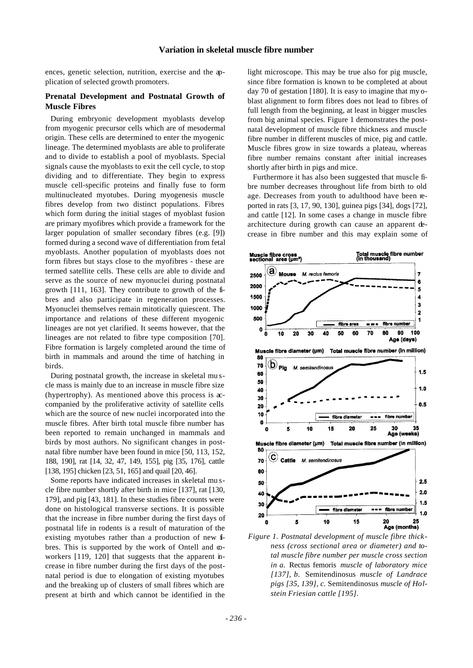ences, genetic selection, nutrition, exercise and the application of selected growth promoters.

# **Prenatal Development and Postnatal Growth of Muscle Fibres**

During embryonic development myoblasts develop from myogenic precursor cells which are of mesodermal origin. These cells are determined to enter the myogenic lineage. The determined myoblasts are able to proliferate and to divide to establish a pool of myoblasts. Special signals cause the myoblasts to exit the cell cycle, to stop dividing and to differentiate. They begin to express muscle cell-specific proteins and finally fuse to form multinucleated myotubes. During myogenesis muscle fibres develop from two distinct populations. Fibres which form during the initial stages of myoblast fusion are primary myofibres which provide a framework for the larger population of smaller secondary fibres (e.g. [9]) formed during a second wave of differentiation from fetal myoblasts. Another population of myoblasts does not form fibres but stays close to the myofibres - these are termed satellite cells. These cells are able to divide and serve as the source of new myonuclei during postnatal growth [111, 163]. They contribute to growth of the fibres and also participate in regeneration processes. Myonuclei themselves remain mitotically quiescent. The importance and relations of these different myogenic lineages are not yet clarified. It seems however, that the lineages are not related to fibre type composition [70]. Fibre formation is largely completed around the time of birth in mammals and around the time of hatching in birds.

During postnatal growth, the increase in skeletal mu scle mass is mainly due to an increase in muscle fibre size (hypertrophy). As mentioned above this process is accompanied by the proliferative activity of satellite cells which are the source of new nuclei incorporated into the muscle fibres. After birth total muscle fibre number has been reported to remain unchanged in mammals and birds by most authors. No significant changes in postnatal fibre number have been found in mice [50, 113, 152, 188, 190], rat [14, 32, 47, 149, 155], pig [35, 176], cattle [138, 195] chicken [23, 51, 165] and quail [20, 46].

Some reports have indicated increases in skeletal mu scle fibre number shortly after birth in mice [137], rat [130, 179], and pig [43, 181]. In these studies fibre counts were done on histological transverse sections. It is possible that the increase in fibre number during the first days of postnatal life in rodents is a result of maturation of the existing myotubes rather than a production of new fibres. This is supported by the work of Ontell and  $\infty$ workers [119, 120] that suggests that the apparent increase in fibre number during the first days of the postnatal period is due to elongation of existing myotubes and the breaking up of clusters of small fibres which are present at birth and which cannot be identified in the

light microscope. This may be true also for pig muscle, since fibre formation is known to be completed at about day 70 of gestation [180]. It is easy to imagine that my oblast alignment to form fibres does not lead to fibres of full length from the beginning, at least in bigger muscles from big animal species. Figure 1 demonstrates the postnatal development of muscle fibre thickness and muscle fibre number in different muscles of mice, pig and cattle. Muscle fibres grow in size towards a plateau, whereas fibre number remains constant after initial increases shortly after birth in pigs and mice.

Furthermore it has also been suggested that muscle fibre number decreases throughout life from birth to old age. Decreases from youth to adulthood have been reported in rats [3, 17, 90, 130], guinea pigs [34], dogs [72], and cattle [12]. In some cases a change in muscle fibre architecture during growth can cause an apparent decrease in fibre number and this may explain some of



*Figure 1. Postnatal development of muscle fibre thickness (cross sectional area or diameter) and total muscle fibre number per muscle cross section in a.* Rectus femoris *muscle of laboratory mice [137], b.* Semitendinosus *muscle of Landrace pigs [35, 139], c.* Semitendinosus *muscle of Holstein Friesian cattle [195].*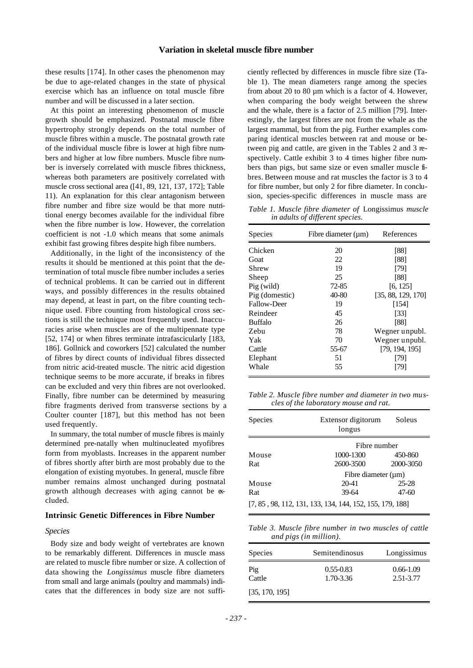these results [174]. In other cases the phenomenon may be due to age-related changes in the state of physical exercise which has an influence on total muscle fibre number and will be discussed in a later section.

At this point an interesting phenomenon of muscle growth should be emphasized. Postnatal muscle fibre hypertrophy strongly depends on the total number of muscle fibres within a muscle. The postnatal growth rate of the individual muscle fibre is lower at high fibre numbers and higher at low fibre numbers. Muscle fibre number is inversely correlated with muscle fibres thickness, whereas both parameters are positively correlated with muscle cross sectional area ([41, 89, 121, 137, 172]; Table 11). An explanation for this clear antagonism between fibre number and fibre size would be that more nutritional energy becomes available for the individual fibre when the fibre number is low. However, the correlation coefficient is not -1.0 which means that some animals exhibit fast growing fibres despite high fibre numbers.

Additionally, in the light of the inconsistency of the results it should be mentioned at this point that the determination of total muscle fibre number includes a series of technical problems. It can be carried out in different ways, and possibly differences in the results obtained may depend, at least in part, on the fibre counting technique used. Fibre counting from histological cross sections is still the technique most frequently used. Inaccuracies arise when muscles are of the multipennate type [52, 174] or when fibres terminate intrafascicularly [183, 186]. Gollnick and coworkers [52] calculated the number of fibres by direct counts of individual fibres dissected from nitric acid-treated muscle. The nitric acid digestion technique seems to be more accurate, if breaks in fibres can be excluded and very thin fibres are not overlooked. Finally, fibre number can be determined by measuring fibre fragments derived from transverse sections by a Coulter counter [187], but this method has not been used frequently.

In summary, the total number of muscle fibres is mainly determined pre-natally when multinucleated myofibres form from myoblasts. Increases in the apparent number of fibres shortly after birth are most probably due to the elongation of existing myotubes. In general, muscle fibre number remains almost unchanged during postnatal growth although decreases with aging cannot be excluded.

#### **Intrinsic Genetic Differences in Fibre Number**

#### *Species*

Body size and body weight of vertebrates are known to be remarkably different. Differences in muscle mass are related to muscle fibre number or size. A collection of data showing the *Longissimus* muscle fibre diameters from small and large animals (poultry and mammals) indicates that the differences in body size are not suffi-

ciently reflected by differences in muscle fibre size (Table 1). The mean diameters range among the species from about 20 to 80 µm which is a factor of 4. However, when comparing the body weight between the shrew and the whale, there is a factor of 2.5 million [79]. Interestingly, the largest fibres are not from the whale as the largest mammal, but from the pig. Further examples comparing identical muscles between rat and mouse or between pig and cattle, are given in the Tables 2 and 3 respectively. Cattle exhibit 3 to 4 times higher fibre numbers than pigs, but same size or even smaller muscle fibres. Between mouse and rat muscles the factor is 3 to 4 for fibre number, but only 2 for fibre diameter. In conclusion, species-specific differences in muscle mass are

*Table 1. Muscle fibre diameter of* Longissimus *muscle in adults of different species.*

| Species        | Fibre diameter $(\mu m)$ | References         |
|----------------|--------------------------|--------------------|
| Chicken        | 20                       | [88]               |
| Goat           | 22.                      | [88]               |
| Shrew          | 19                       | [79]               |
| Sheep          | 25                       | [88]               |
| Pig (wild)     | 72-85                    | [6, 125]           |
| Pig (domestic) | 40-80                    | [35, 88, 129, 170] |
| Fallow-Deer    | 19                       | [154]              |
| Reindeer       | 45                       | [33]               |
| <b>Buffalo</b> | 26                       | [88]               |
| Zebu           | 78                       | Wegner unpubl.     |
| Yak            | 70                       | Wegner unpubl.     |
| Cattle         | 55-67                    | [79, 194, 195]     |
| Elephant       | 51                       | [79]               |
| Whale          | 55                       | [79]               |

*Table 2. Muscle fibre number and diameter in two muscles of the laboratory mouse and rat.*

| Species | Extensor digitorum<br>longus                             | Soleus    |
|---------|----------------------------------------------------------|-----------|
|         | Fibre number                                             |           |
| Mouse   | 1000-1300                                                | 450-860   |
| Rat     | 2600-3500                                                | 2000-3050 |
|         | Fibre diameter (um)                                      |           |
| Mouse   | 20-41                                                    | $25 - 28$ |
| Rat     | $39 - 64$                                                | $47 - 60$ |
|         | [7, 85, 98, 112, 131, 133, 134, 144, 152, 155, 179, 188] |           |

*Table 3. Muscle fibre number in two muscles of cattle and pigs (in million).*

| <b>Species</b> | Semitendinosus             | Longissimus                |
|----------------|----------------------------|----------------------------|
| Pig<br>Cattle  | $0.55 - 0.83$<br>1.70-3.36 | $0.66 - 1.09$<br>2.51-3.77 |
| [35, 170, 195] |                            |                            |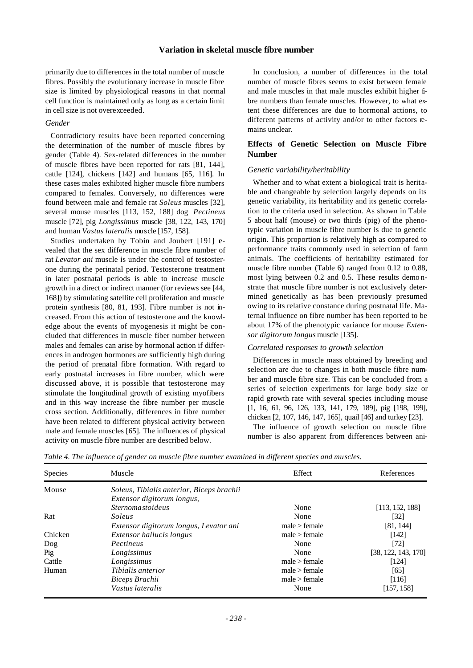primarily due to differences in the total number of muscle fibres. Possibly the evolutionary increase in muscle fibre size is limited by physiological reasons in that normal cell function is maintained only as long as a certain limit in cell size is not overexceeded.

#### *Gender*

Contradictory results have been reported concerning the determination of the number of muscle fibres by gender (Table 4). Sex-related differences in the number of muscle fibres have been reported for rats [81, 144], cattle [124], chickens [142] and humans [65, 116]. In these cases males exhibited higher muscle fibre numbers compared to females. Conversely, no differences were found between male and female rat *Soleus* muscles [32], several mouse muscles [113, 152, 188] dog *Pectineus* muscle [72], pig *Longissimus* muscle [38, 122, 143, 170] and human *Vastus lateralis* muscle [157, 158].

Studies undertaken by Tobin and Joubert [191] **e**vealed that the sex difference in muscle fibre number of rat *Levator ani* muscle is under the control of testosterone during the perinatal period. Testosterone treatment in later postnatal periods is able to increase muscle growth in a direct or indirect manner (for reviews see [44, 168]) by stimulating satellite cell proliferation and muscle protein synthesis [80, 81, 193]. Fibre number is not increased. From this action of testosterone and the knowledge about the events of myogenesis it might be concluded that differences in muscle fiber number between males and females can arise by hormonal action if differences in androgen hormones are sufficiently high during the period of prenatal fibre formation. With regard to early postnatal increases in fibre number, which were discussed above, it is possible that testosterone may stimulate the longitudinal growth of existing myofibers and in this way increase the fibre number per muscle cross section. Additionally, differences in fibre number have been related to different physical activity between male and female muscles [65]. The influences of physical activity on muscle fibre number are described below.

In conclusion, a number of differences in the total number of muscle fibres seems to exist between female and male muscles in that male muscles exhibit higher fibre numbers than female muscles. However, to what extent these differences are due to hormonal actions, to different patterns of activity and/or to other factors remains unclear.

# **Effects of Genetic Selection on Muscle Fibre Number**

#### *Genetic variability/heritability*

Whether and to what extent a biological trait is heritable and changeable by selection largely depends on its genetic variability, its heritability and its genetic correlation to the criteria used in selection. As shown in Table 5 about half (mouse) or two thirds (pig) of the phenotypic variation in muscle fibre number is due to genetic origin. This proportion is relatively high as compared to performance traits commonly used in selection of farm animals. The coefficients of heritability estimated for muscle fibre number (Table 6) ranged from 0.12 to 0.88, most lying between 0.2 and 0.5. These results demo nstrate that muscle fibre number is not exclusively determined genetically as has been previously presumed owing to its relative constance during postnatal life. Maternal influence on fibre number has been reported to be about 17% of the phenotypic variance for mouse *Extensor digitorum longus* muscle [135].

#### *Correlated responses to growth selection*

Differences in muscle mass obtained by breeding and selection are due to changes in both muscle fibre number and muscle fibre size. This can be concluded from a series of selection experiments for large body size or rapid growth rate with several species including mouse [1, 16, 61, 96, 126, 133, 141, 179, 189], pig [198, 199], chicken [2, 107, 146, 147, 165], quail [46] and turkey [23].

The influence of growth selection on muscle fibre number is also apparent from differences between ani-

| Species | Muscle                                    | Effect        | References          |
|---------|-------------------------------------------|---------------|---------------------|
| Mouse   | Soleus, Tibialis anterior, Biceps brachii |               |                     |
|         | Extensor digitorum longus,                |               |                     |
|         | <i><u><b>Sternomastoideus</b></u></i>     | None          | [113, 152, 188]     |
| Rat     | Soleus                                    | None          | $[32]$              |
|         | Extensor digitorum longus, Levator ani    | male > female | [81, 144]           |
| Chicken | Extensor hallucis longus                  | male > female | [142]               |
| Dog     | Pectineus                                 | None          | [72]                |
| Pig     | Longissimus                               | None          | [38, 122, 143, 170] |
| Cattle  | Longissimus                               | male > female | [124]               |
| Human   | Tibialis anterior                         | male > female | [65]                |
|         | Biceps Brachii                            | male > female | [116]               |
|         | Vastus lateralis                          | None          | [157, 158]          |

*Table 4. The influence of gender on muscle fibre number examined in different species and muscles.*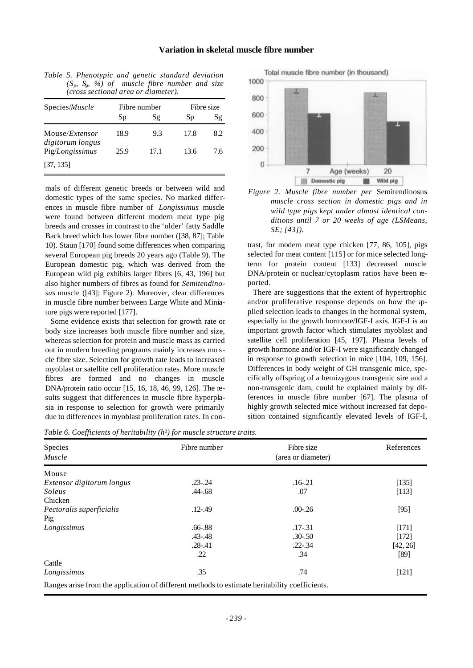| reross secuonal area or alameter).         |              |      |      |            |  |  |
|--------------------------------------------|--------------|------|------|------------|--|--|
| Species/ <i>Muscle</i>                     | Fibre number |      |      | Fibre size |  |  |
|                                            | Sp           | Sg   | Sp   | Sg         |  |  |
| Mouse/ <i>Extensor</i><br>digitorum longus | 18.9         | 9.3  | 17.8 | 8.2        |  |  |
| Pig/Longissimus                            | 25.9         | 17.1 | 13.6 | 7.6        |  |  |
| [37, 135]                                  |              |      |      |            |  |  |

*Table 5. Phenotypic and genetic standard deviation (Sp, Sg, %) of muscle fibre number and size (cross sectional area or diameter).*

mals of different genetic breeds or between wild and domestic types of the same species. No marked differences in muscle fibre number of *Longissimus* muscle were found between different modern meat type pig breeds and crosses in contrast to the 'older' fatty Saddle Back breed which has lower fibre number ([38, 87]; Table 10). Staun [170] found some differences when comparing several European pig breeds 20 years ago (Table 9). The European domestic pig, which was derived from the European wild pig exhibits larger fibres [6, 43, 196] but also higher numbers of fibres as found for *Semitendinosus* muscle ([43]; Figure 2). Moreover, clear differences in muscle fibre number between Large White and Miniature pigs were reported [177].

Some evidence exists that selection for growth rate or body size increases both muscle fibre number and size, whereas selection for protein and muscle mass as carried out in modern breeding programs mainly increases mu scle fibre size. Selection for growth rate leads to increased myoblast or satellite cell proliferation rates. More muscle fibres are formed and no changes in muscle DNA/protein ratio occur [15, 16, 18, 46, 99, 126]. The results suggest that differences in muscle fibre hyperplasia in response to selection for growth were primarily due to differences in myoblast proliferation rates. In con-

Total muscle fibre number (in thousand) 1000 800 600 400 200  $\overline{0}$  $\overline{7}$ Age (weeks) 20 **III** Domestic pig Wild pig

*Figure 2. Muscle fibre number per* Semitendinosus *muscle cross section in domestic pigs and in wild type pigs kept under almost identical conditions until 7 or 20 weeks of age (LSMeans, SE; [43]).*

trast, for modern meat type chicken [77, 86, 105], pigs selected for meat content [115] or for mice selected longterm for protein content [133] decreased muscle DNA/protein or nuclear/cytoplasm ratios have been reported.

There are suggestions that the extent of hypertrophic and/or proliferative response depends on how the applied selection leads to changes in the hormonal system, especially in the growth hormone/IGF-I axis. IGF-I is an important growth factor which stimulates myoblast and satellite cell proliferation [45, 197]. Plasma levels of growth hormone and/or IGF-I were significantly changed in response to growth selection in mice [104, 109, 156]. Differences in body weight of GH transgenic mice, specifically offspring of a hemizygous transgenic sire and a non-transgenic dam, could be explained mainly by differences in muscle fibre number [67]. The plasma of highly growth selected mice without increased fat deposition contained significantly elevated levels of IGF-I,

|  |  | Table 6. Coefficients of heritability $(h^2)$ for muscle structure traits. |  |
|--|--|----------------------------------------------------------------------------|--|
|  |  |                                                                            |  |

| Species<br>Muscle                                                                             | Fibre number | Fibre size<br>(area or diameter) | References |
|-----------------------------------------------------------------------------------------------|--------------|----------------------------------|------------|
| Mouse                                                                                         |              |                                  |            |
| Extensor digitorum longus                                                                     | $.23 - .24$  | $.16 - .21$                      | [135]      |
| Soleus                                                                                        | $.44 - .68$  | .07                              | [113]      |
| Chicken                                                                                       |              |                                  |            |
| Pectoralis superficialis                                                                      | $.12 - .49$  | $.00 - .26$                      | [95]       |
| Pig                                                                                           |              |                                  |            |
| Longissimus                                                                                   | $.66 - .88$  | $.17 - .31$                      | [171]      |
|                                                                                               | $.43 - .48$  | $.30 - .50$                      | $[172]$    |
|                                                                                               | $.28 - .41$  | $.22 - .34$                      | [42, 26]   |
|                                                                                               | .22          | .34                              | [89]       |
| Cattle                                                                                        |              |                                  |            |
| Longissimus                                                                                   | .35          | .74                              | $[121]$    |
| Ranges arise from the application of different methods to estimate heritability coefficients. |              |                                  |            |

Ranges arise from the application of different methods to estimate heritability coefficients.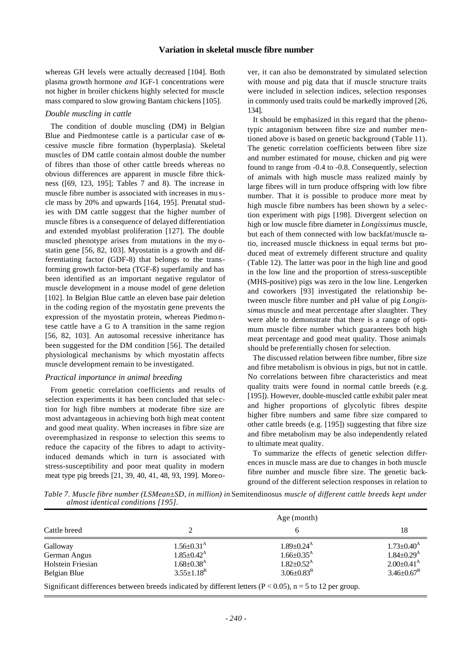whereas GH levels were actually decreased [104]. Both plasma growth hormone *and* IGF-1 concentrations were not higher in broiler chickens highly selected for muscle mass compared to slow growing Bantam chickens [105].

#### *Double muscling in cattle*

The condition of double muscling (DM) in Belgian Blue and Piedmontese cattle is a particular case of  $\alpha$ cessive muscle fibre formation (hyperplasia). Skeletal muscles of DM cattle contain almost double the number of fibres than those of other cattle breeds whereas no obvious differences are apparent in muscle fibre thickness ([69, 123, 195]; Tables 7 and 8). The increase in muscle fibre number is associated with increases in mu scle mass by 20% and upwards [164, 195]. Prenatal studies with DM cattle suggest that the higher number of muscle fibres is a consequence of delayed differentiation and extended myoblast proliferation [127]. The double muscled phenotype arises from mutations in the my ostatin gene [56, 82, 103]. Myostatin is a growth and differentiating factor (GDF-8) that belongs to the transforming growth factor-beta (TGF-ß) superfamily and has been identified as an important negative regulator of muscle development in a mouse model of gene deletion [102]. In Belgian Blue cattle an eleven base pair deletion in the coding region of the myostatin gene prevents the expression of the myostatin protein, whereas Piedmo ntese cattle have a G to A transition in the same region [56, 82, 103]. An autosomal recessive inheritance has been suggested for the DM condition [56]. The detailed physiological mechanisms by which myostatin affects muscle development remain to be investigated.

#### *Practical importance in animal breeding*

From genetic correlation coefficients and results of selection experiments it has been concluded that selection for high fibre numbers at moderate fibre size are most advantageous in achieving both high meat content and good meat quality. When increases in fibre size are overemphasized in response to selection this seems to reduce the capacity of the fibres to adapt to activityinduced demands which in turn is associated with stress-susceptibility and poor meat quality in modern meat type pig breeds [21, 39, 40, 41, 48, 93, 199]. Moreover, it can also be demonstrated by simulated selection with mouse and pig data that if muscle structure traits were included in selection indices, selection responses in commonly used traits could be markedly improved [26, 134].

It should be emphasized in this regard that the phenotypic antagonism between fibre size and number mentioned above is based on genetic background (Table 11). The genetic correlation coefficients between fibre size and number estimated for mouse, chicken and pig were found to range from -0.4 to -0.8. Consequently, selection of animals with high muscle mass realized mainly by large fibres will in turn produce offspring with low fibre number. That it is possible to produce more meat by high muscle fibre numbers has been shown by a selection experiment with pigs [198]. Divergent selection on high or low muscle fibre diameter in *Longissimus* muscle, but each of them connected with low backfat/muscle ratio, increased muscle thickness in equal terms but produced meat of extremely different structure and quality (Table 12). The latter was poor in the high line and good in the low line and the proportion of stress-susceptible (MHS-positive) pigs was zero in the low line. Lengerken and coworkers [93] investigated the relationship between muscle fibre number and pH value of pig *Longissimus* muscle and meat percentage after slaughter. They were able to demonstrate that there is a range of optimum muscle fibre number which guarantees both high meat percentage and good meat quality. Those animals should be preferentially chosen for selection.

The discussed relation between fibre number, fibre size and fibre metabolism is obvious in pigs, but not in cattle. No correlations between fibre characteristics and meat quality traits were found in normal cattle breeds (e.g. [195]). However, double-muscled cattle exhibit paler meat and higher proportions of glycolytic fibres despite higher fibre numbers and same fibre size compared to other cattle breeds (e.g. [195]) suggesting that fibre size and fibre metabolism may be also independently related to ultimate meat quality.

To summarize the effects of genetic selection differences in muscle mass are due to changes in both muscle fibre number and muscle fibre size. The genetic background of the different selection responses in relation to

*Table 7. Muscle fibre number (LSMean±SD, in million) in* Semitendinosus *muscle of different cattle breeds kept under almost identical conditions [195].*

|                   | Age (month)                  |                                                                                                                |                              |
|-------------------|------------------------------|----------------------------------------------------------------------------------------------------------------|------------------------------|
| Cattle breed      | っ                            |                                                                                                                | 18                           |
| Galloway          | $1.56 \pm 0.31^{\rm A}$      | $1.89 + 0.24$ <sup>A</sup>                                                                                     | $1.73 \pm 0.40^{\rm A}$      |
| German Angus      | $1.85 \pm 0.42^{\rm A}$      | $1.66 \pm 0.35$ <sup>A</sup>                                                                                   | $1.84 \pm 0.29$ <sup>A</sup> |
| Holstein Friesian | $1.68 \pm 0.38$ <sup>A</sup> | $1.82 + 0.52^{\text{A}}$                                                                                       | $2.00+0.41^{\rm A}$          |
| Belgian Blue      | $3.55 \pm 1.18^{\rm B}$      | $3.06 \pm 0.83^{\rm B}$                                                                                        | $3.46 \pm 0.67^{\rm B}$      |
|                   |                              | Significant differences between broads indicated by different letters $(D \ge 0.05)$ , $n = 5$ to 12 per group |                              |

Significant differences between breeds indicated by different letters  $(P < 0.05)$ , n = 5 to 12 per group.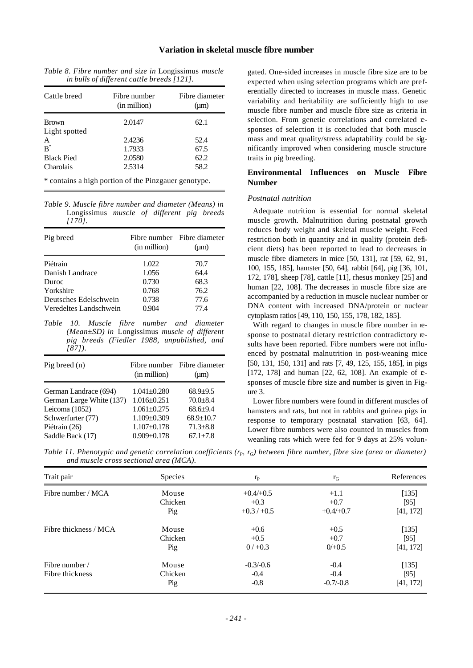| in bulls of different cattle breeds [121]. |                              |                             |  |  |
|--------------------------------------------|------------------------------|-----------------------------|--|--|
| Cattle breed                               | Fibre number<br>(in million) | Fibre diameter<br>$(\mu m)$ |  |  |
| <b>Brown</b>                               | 2.0147                       | 62.1                        |  |  |
| Light spotted                              |                              |                             |  |  |
| A                                          | 2.4236                       | 52.4                        |  |  |
| $B^*$                                      | 1.7933                       | 67.5                        |  |  |
| <b>Black Pied</b>                          | 2.0580                       | 62.2                        |  |  |
| Charolais                                  | 2.5314                       | 58.2                        |  |  |

*Table 8. Fibre number and size in* Longissimus *muscle*

\* contains a high portion of the Pinzgauer genotype.

*Table 9. Muscle fibre number and diameter (Means) in* Longissimus *muscle of different pig breeds [170].*

| Pig breed              | (in million) | Fibre number Fibre diameter<br>$(\mu m)$ |
|------------------------|--------------|------------------------------------------|
| Piétrain               | 1.022        | 70.7                                     |
| Danish Landrace        | 1.056        | 64.4                                     |
| Duroc                  | 0.730        | 68.3                                     |
| Yorkshire              | 0.768        | 76.2                                     |
| Deutsches Edelschwein  | 0.738        | 77.6                                     |
| Veredeltes Landschwein | 0.904        | 77.4                                     |

*Table 10. Muscle fibre number and diameter (Mean±SD) in* Longissimus *muscle of different pig breeds (Fiedler 1988, unpublished, and [87]).*

| Pig breed $(n)$          | (in million)      | Fibre number Fibre diameter<br>$(\mu m)$ |
|--------------------------|-------------------|------------------------------------------|
| German Landrace (694)    | $1.041 + 0.280$   | $68.9 + 9.5$                             |
| German Large White (137) | $1.016 \pm 0.251$ | $70.0 + 8.4$                             |
| Leicoma (1052)           | $1.061 + 0.275$   | $68.6 + 9.4$                             |
| Schwerfurter (77)        | $1.109 + 0.309$   | $68.9 + 10.7$                            |
| Piétrain (26)            | $1.107 \pm 0.178$ | $71.3 \pm 8.8$                           |
| Saddle Back (17)         | $0.909 + 0.178$   | $67.1 + 7.8$                             |

gated. One-sided increases in muscle fibre size are to be expected when using selection programs which are preferentially directed to increases in muscle mass. Genetic variability and heritability are sufficiently high to use muscle fibre number and muscle fibre size as criteria in selection. From genetic correlations and correlated **re**sponses of selection it is concluded that both muscle mass and meat quality/stress adaptability could be significantly improved when considering muscle structure traits in pig breeding.

# **Environmental Influences on Muscle Fibre Number**

#### *Postnatal nutrition*

Adequate nutrition is essential for normal skeletal muscle growth. Malnutrition during postnatal growth reduces body weight and skeletal muscle weight. Feed restriction both in quantity and in quality (protein deficient diets) has been reported to lead to decreases in muscle fibre diameters in mice [50, 131], rat [59, 62, 91, 100, 155, 185], hamster [50, 64], rabbit [64], pig [36, 101, 172, 178], sheep [78], cattle [11], rhesus monkey [25] and human [22, 108]. The decreases in muscle fibre size are accompanied by a reduction in muscle nuclear number or DNA content with increased DNA/protein or nuclear cytoplasm ratios [49, 110, 150, 155, 178, 182, 185].

With regard to changes in muscle fibre number in response to postnatal dietary restriction contradictory results have been reported. Fibre numbers were not influenced by postnatal malnutrition in post-weaning mice [50, 131, 150, 131] and rats [7, 49, 125, 155, 185], in pigs [172, 178] and human [22, 62, 108]. An example of  $r =$ sponses of muscle fibre size and number is given in Figure 3.

Lower fibre numbers were found in different muscles of hamsters and rats, but not in rabbits and guinea pigs in response to temporary postnatal starvation [63, 64]. Lower fibre numbers were also counted in muscles from weanling rats which were fed for 9 days at 25% volun-

*Table 11. Phenotypic and genetic correlation coefficients (* $r_p$ *,*  $r_q$ *) between fibre number, fibre size (area or diameter) and muscle cross sectional area (MCA).*

| Trait pair            | <b>Species</b> | $r_{\rm P}$ | $r_{G}$     | References |
|-----------------------|----------------|-------------|-------------|------------|
| Fibre number / MCA    | Mouse          | $+0.4/+0.5$ | $+1.1$      | [135]      |
|                       | Chicken        | $+0.3$      | $+0.7$      | [95]       |
|                       | Pig            | $+0.3/+0.5$ | $+0.4/+0.7$ | [41, 172]  |
| Fibre thickness / MCA | Mouse          | $+0.6$      | $+0.5$      | $[135]$    |
|                       | Chicken        | $+0.5$      | $+0.7$      | $[95]$     |
|                       | Pig            | $0/+0.3$    | $0/+0.5$    | [41, 172]  |
| Fibre number /        | Mouse          | $-0.3/-0.6$ | $-0.4$      | [135]      |
| Fibre thickness       | Chicken        | $-0.4$      | $-0.4$      | [95]       |
|                       | Pig            | $-0.8$      | $-0.7/-0.8$ | [41, 172]  |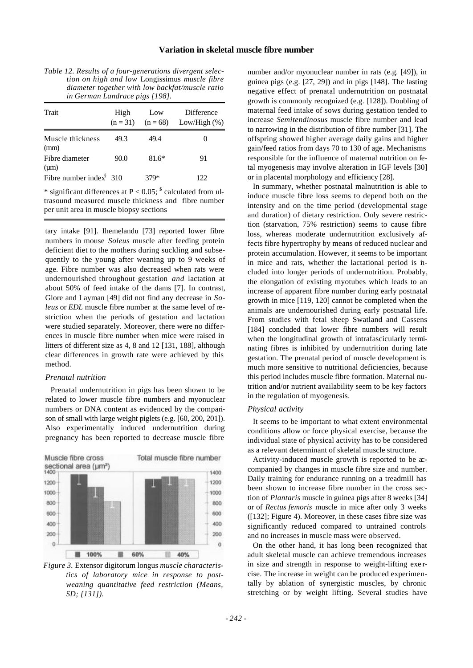| Table 12. Results of a four-generations divergent selec- |
|----------------------------------------------------------|
| tion on high and low Longissimus muscle fibre            |
| diameter together with low backfat/muscle ratio          |
| in German Landrace pigs [198].                           |

| Trait                       | High | Low     | Difference<br>$(n = 31)$ $(n = 68)$ Low/High $(\%)$ |
|-----------------------------|------|---------|-----------------------------------------------------|
| Muscle thickness<br>(mm)    | 49.3 | 49.4    | 0                                                   |
| Fibre diameter<br>$(\mu m)$ | 90.0 | $81.6*$ | 91                                                  |
| Fibre number index $310$    |      | 379*    | 122.                                                |

\* significant differences at  $P < 0.05$ ;  $\textdegree$  calculated from ultrasound measured muscle thickness and fibre number per unit area in muscle biopsy sections

tary intake [91]. Ihemelandu [73] reported lower fibre numbers in mouse *Soleus* muscle after feeding protein deficient diet to the mothers during suckling and subsequently to the young after weaning up to 9 weeks of age. Fibre number was also decreased when rats were undernourished throughout gestation *and* lactation at about 50% of feed intake of the dams [7]. In contrast, Glore and Layman [49] did not find any decrease in *Soleus* or *EDL* muscle fibre number at the same level of restriction when the periods of gestation and lactation were studied separately. Moreover, there were no differences in muscle fibre number when mice were raised in litters of different size as 4, 8 and 12 [131, 188], although clear differences in growth rate were achieved by this method.

# *Prenatal nutrition*

Prenatal undernutrition in pigs has been shown to be related to lower muscle fibre numbers and myonuclear numbers or DNA content as evidenced by the comparison of small with large weight piglets (e.g. [60, 200, 201]). Also experimentally induced undernutrition during pregnancy has been reported to decrease muscle fibre



*Figure 3.* Extensor digitorum longus *muscle characteristics of laboratory mice in response to postweaning quantitative feed restriction (Means, SD; [131]).*

number and/or myonuclear number in rats (e.g. [49]), in guinea pigs (e.g. [27, 29]) and in pigs [148]. The lasting negative effect of prenatal undernutrition on postnatal growth is commonly recognized (e.g. [128]). Doubling of maternal feed intake of sows during gestation tended to increase *Semitendinosus* muscle fibre number and lead to narrowing in the distribution of fibre number [31]. The offspring showed higher average daily gains and higher gain/feed ratios from days 70 to 130 of age. Mechanisms responsible for the influence of maternal nutrition on fetal myogenesis may involve alteration in IGF levels [30] or in placental morphology and efficiency [28].

In summary, whether postnatal malnutrition is able to induce muscle fibre loss seems to depend both on the intensity and on the time period (developmental stage and duration) of dietary restriction. Only severe restriction (starvation, 75% restriction) seems to cause fibre loss, whereas moderate undernutrition exclusively affects fibre hypertrophy by means of reduced nuclear and protein accumulation. However, it seems to be important in mice and rats, whether the lactational period is included into longer periods of undernutrition. Probably, the elongation of existing myotubes which leads to an increase of apparent fibre number during early postnatal growth in mice [119, 120] cannot be completed when the animals are undernourished during early postnatal life. From studies with fetal sheep Swatland and Cassens [184] concluded that lower fibre numbers will result when the longitudinal growth of intrafascicularly terminating fibres is inhibited by undernutrition during late gestation. The prenatal period of muscle development is much more sensitive to nutritional deficiencies, because this period includes muscle fibre formation. Maternal nutrition and/or nutrient availability seem to be key factors in the regulation of myogenesis.

#### *Physical activity*

It seems to be important to what extent environmental conditions allow or force physical exercise, because the individual state of physical activity has to be considered as a relevant determinant of skeletal muscle structure.

Activity-induced muscle growth is reported to be accompanied by changes in muscle fibre size and number. Daily training for endurance running on a treadmill has been shown to increase fibre number in the cross section of *Plantaris* muscle in guinea pigs after 8 weeks [34] or of *Rectus femoris* muscle in mice after only 3 weeks ([132]; Figure 4). Moreover, in these cases fibre size was significantly reduced compared to untrained controls and no increases in muscle mass were observed.

On the other hand, it has long been recognized that adult skeletal muscle can achieve tremendous increases in size and strength in response to weight-lifting exe rcise. The increase in weight can be produced experimentally by ablation of synergistic muscles, by chronic stretching or by weight lifting. Several studies have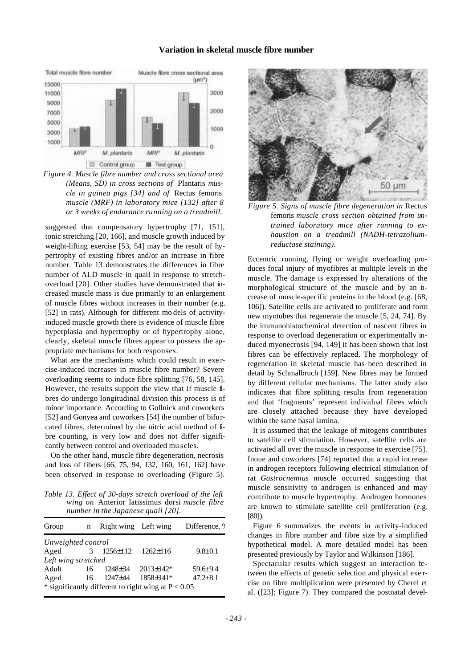

*Figure 4. Muscle fibre number and cross sectional area (Means, SD) in cross sections of* Plantaris *muscle in guinea pigs [34] and of* Rectus femoris *muscle (MRF) in laboratory mice [132] after 8 or 3 weeks of endurance running on a treadmill.*

suggested that compensatory hypertrophy [71, 151], tonic stretching [20, 166], and muscle growth induced by weight-lifting exercise [53, 54] may be the result of hypertrophy of existing fibres and/or an increase in fibre number. Table 13 demonstrates the differences in fibre number of ALD muscle in quail in response to stretchoverload [20]. Other studies have demonstrated that increased muscle mass is due primarily to an enlargement of muscle fibres without increases in their number (e.g. [52] in rats)*.* Although for different mo dels of activityinduced muscle growth there is evidence of muscle fibre hyperplasia and hypertrophy or of hypertrophy alone, clearly, skeletal muscle fibres appear to possess the appropriate mechanisms for both responses.

What are the mechanisms which could result in exe rcise-induced increases in muscle fibre number? Severe overloading seems to induce fibre splitting [76, 58, 145]. However, the results support the view that if muscle fibres do undergo longitudinal division this process is of minor importance. According to Gollnick and coworkers [52] and Gonyea and coworkers [54] the number of bifurcated fibres, determined by the nitric acid method of fibre counting, is very low and does not differ significantly between control and overloaded mu scles.

On the other hand, muscle fibre degeneration, necrosis and loss of fibers [66, 75, 94, 132, 160, 161, 162] have been observed in response to overloading (Figure 5).

*Table 13. Effect of 30-days stretch overload of the left wing on* Anterior latissimus dorsi *muscle fibre number in the Japanese quail [20].*

| Group                                                 | n  | Right wing Left wing |                  | Difference, 9 |  |  |
|-------------------------------------------------------|----|----------------------|------------------|---------------|--|--|
| Unweighted control                                    |    |                      |                  |               |  |  |
| Aged                                                  | 3  | $1256 \pm 112$       | $1262 \pm 116$   | $9.8 + 0.1$   |  |  |
| Left wing stretched                                   |    |                      |                  |               |  |  |
| Adult                                                 | 16 | $1248 \pm 34$        | $2013 \pm 142$ * | $59.6 + 9.4$  |  |  |
| Aged                                                  | 16 | $1247 + 44$          | 1858±141*        | $47.2 + 8.1$  |  |  |
| * significantly different to right wing at $P < 0.05$ |    |                      |                  |               |  |  |



*Figure 5. Signs of muscle fibre degeneration in* Rectus femoris *muscle cross section obtained from untrained laboratory mice after running to exhaustion on a treadmill (NADH-tetrazoliumreductase staining).*

Eccentric running, flying or weight overloading produces focal injury of myofibres at multiple levels in the muscle. The damage is expressed by alterations of the morphological structure of the muscle and by an increase of muscle-specific proteins in the blood (e.g. [68, 106]). Satellite cells are activated to proliferate and form new myotubes that regenerate the muscle [5, 24, 74]. By the immunohistochemical detection of nascent fibres in response to overload degeneration or experimentally induced myonecrosis [94, 149] it has been shown that lost fibres can be effectively replaced. The morphology of regeneration in skeletal muscle has been described in detail by Schmalbruch [159]. New fibres may be formed by different cellular mechanisms. The latter study also indicates that fibre splitting results from regeneration and that 'fragments' represent individual fibres which are closely attached because they have developed within the same basal lamina.

It is assumed that the leakage of mitogens contributes to satellite cell stimulation. However, satellite cells are activated all over the muscle in response to exercise [75]. Inoue and coworkers [74] reported that a rapid increase in androgen receptors following electrical stimulation of rat *Gastrocnemius* muscle occurred suggesting that muscle sensitivity to androgen is enhanced and may contribute to muscle hypertrophy. Androgen hormones are known to stimulate satellite cell proliferation (e.g. [80]).

Figure 6 summarizes the events in activity-induced changes in fibre number and fibre size by a simplified hypothetical model. A more detailed model has been presented previously by Taylor and Wilkinson [186].

Spectacular results which suggest an interaction between the effects of genetic selection and physical exe rcise on fibre multiplication were presented by Cherel et al. ([23]; Figure 7). They compared the postnatal devel-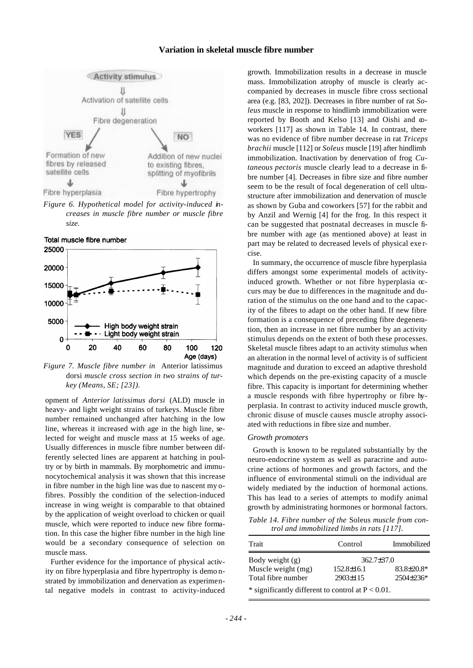

*Figure 6. Hypothetical model for activity-induced increases in muscle fibre number or muscle fibre size.*



*Figure 7. Muscle fibre number in* Anterior latissimus dorsi *muscle cross section in two strains of turkey (Means, SE; [23]).*

opment of *Anterior latissimus dorsi* (ALD) muscle in heavy- and light weight strains of turkeys. Muscle fibre number remained unchanged after hatching in the low line, whereas it increased with age in the high line, selected for weight and muscle mass at 15 weeks of age. Usually differences in muscle fibre number between differently selected lines are apparent at hatching in poultry or by birth in mammals. By morphometric and immunocytochemical analysis it was shown that this increase in fibre number in the high line was due to nascent my ofibres. Possibly the condition of the selection-induced increase in wing weight is comparable to that obtained by the application of weight overload to chicken or quail muscle, which were reported to induce new fibre formation. In this case the higher fibre number in the high line would be a secondary consequence of selection on muscle mass.

Further evidence for the importance of physical activity on fibre hyperplasia and fibre hypertrophy is demo nstrated by immobilization and denervation as experimental negative models in contrast to activity-induced

growth. Immobilization results in a decrease in muscle mass. Immobilization atrophy of muscle is clearly accompanied by decreases in muscle fibre cross sectional area (e.g. [83, 202]). Decreases in fibre number of rat *Soleus* muscle in response to hindlimb immobilization were reported by Booth and Kelso [13] and Oishi and coworkers [117] as shown in Table 14. In contrast, there was no evidence of fibre number decrease in rat *Triceps brachii* muscle [112] or *Soleus* muscle [19] after hindlimb immobilization. Inactivation by denervation of frog *Cutaneous pectoris* muscle clearly lead to a decrease in fibre number [4]. Decreases in fibre size and fibre number seem to be the result of focal degeneration of cell ultrastructure after immobilization and denervation of muscle as shown by Guba and coworkers [57] for the rabbit and by Anzil and Wernig [4] for the frog. In this respect it can be suggested that postnatal decreases in muscle fibre number with age (as mentioned above) at least in part may be related to decreased levels of physical exe rcise.

In summary, the occurrence of muscle fibre hyperplasia differs amongst some experimental models of activityinduced growth. Whether or not fibre hyperplasia  $\infty$ curs may be due to differences in the magnitude and duration of the stimulus on the one hand and to the capacity of the fibres to adapt on the other hand. If new fibre formation is a consequence of preceding fibre degeneration, then an increase in net fibre number by an activity stimulus depends on the extent of both these processes. Skeletal muscle fibres adapt to an activity stimulus when an alteration in the normal level of activity is of sufficient magnitude and duration to exceed an adaptive threshold which depends on the pre-existing capacity of a muscle fibre. This capacity is important for determining whether a muscle responds with fibre hypertrophy or fibre hyperplasia. In contrast to activity induced muscle growth, chronic disuse of muscle causes muscle atrophy associated with reductions in fibre size and number.

#### *Growth promoters*

Growth is known to be regulated substantially by the neuro-endocrine system as well as paracrine and autocrine actions of hormones and growth factors, and the influence of environmental stimuli on the individual are widely mediated by the induction of hormonal actions. This has lead to a series of attempts to modify animal growth by administrating hormones or hormonal factors.

*Table 14. Fibre number of the* Soleus *muscle from control and immobilized limbs in rats [117].*

| Trait                                                | Control          | Immobilized       |
|------------------------------------------------------|------------------|-------------------|
| Body weight $(g)$                                    | $362.7 \pm 37.0$ |                   |
| Muscle weight (mg)                                   | $152.8 \pm 16.1$ | $83.8 \pm 20.8^*$ |
| Total fibre number                                   | $2903 \pm 115$   | $2504\pm236*$     |
| * significantly different to control at $P < 0.01$ . |                  |                   |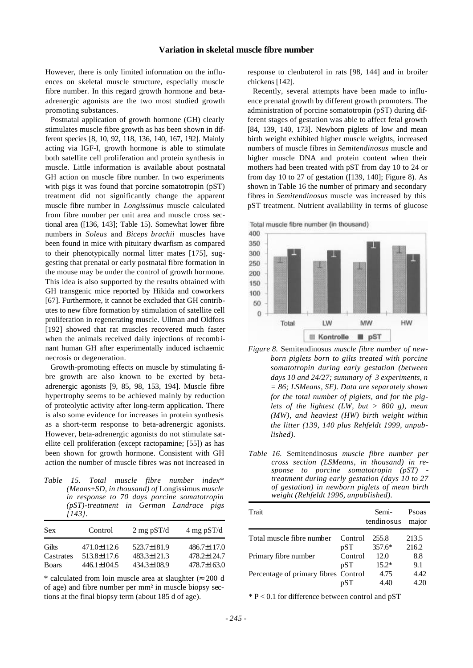However, there is only limited information on the influences on skeletal muscle structure, especially muscle fibre number. In this regard growth hormone and betaadrenergic agonists are the two most studied growth promoting substances.

Postnatal application of growth hormone (GH) clearly stimulates muscle fibre growth as has been shown in different species [8, 10, 92, 118, 136, 140, 167, 192]. Mainly acting via IGF-I, growth hormone is able to stimulate both satellite cell proliferation and protein synthesis in muscle. Little information is available about postnatal GH action on muscle fibre number. In two experiments with pigs it was found that porcine somatotropin (pST) treatment did not significantly change the apparent muscle fibre number in *Longissimus* muscle calculated from fibre number per unit area and muscle cross sectional area ([136, 143]; Table 15). Somewhat lower fibre numbers in *Soleus* and *Biceps brachii* muscles have been found in mice with pituitary dwarfism as compared to their phenotypically normal litter mates [175], suggesting that prenatal or early postnatal fibre formation in the mouse may be under the control of growth hormone. This idea is also supported by the results obtained with GH transgenic mice reported by Hikida and coworkers [67]. Furthermore, it cannot be excluded that GH contributes to new fibre formation by stimulation of satellite cell proliferation in regenerating muscle. Ullman and Oldfors [192] showed that rat muscles recovered much faster when the animals received daily injections of recomb inant human GH after experimentally induced ischaemic necrosis or degeneration.

Growth-promoting effects on muscle by stimulating fibre growth are also known to be exerted by betaadrenergic agonists [9, 85, 98, 153, 194]. Muscle fibre hypertrophy seems to be achieved mainly by reduction of proteolytic activity after long-term application. There is also some evidence for increases in protein synthesis as a short-term response to beta-adrenergic agonists. However, beta-adrenergic agonists do not stimulate satellite cell proliferation (except ractopamine; [55]) as has been shown for growth hormone. Consistent with GH action the number of muscle fibres was not increased in

*Table 15. Total muscle fibre number index\* (Means±SD, in thousand) of* Longissimus *muscle in response to 70 days porcine somatotropin (pST)-treatment in German Landrace pigs [143].*

| <b>Sex</b>   | Control           | $2 \text{ mg }$ pST/d | $4 \text{ mg }$ pST/d |
|--------------|-------------------|-----------------------|-----------------------|
| Gilts        | 471.0±112.6       | 523.7±181.9           | $486.7 \pm 117.0$     |
| Castrates    | 513.8±117.6       | 483.3±121.3           | 478.2±124.7           |
| <b>Boars</b> | $446.1 \pm 104.5$ | 434.3±108.9           | $478.7 \pm 163.0$     |

\* calculated from loin muscle area at slaughter ( $\approx 200$  d of age) and fibre number per mm² in muscle biopsy sections at the final biopsy term (about 185 d of age).

response to clenbuterol in rats [98, 144] and in broiler chickens [142].

Recently, several attempts have been made to influence prenatal growth by different growth promoters. The administration of porcine somatotropin (pST) during different stages of gestation was able to affect fetal growth [84, 139, 140, 173]. Newborn piglets of low and mean birth weight exhibited higher muscle weights, increased numbers of muscle fibres in *Semitendinosus* muscle and higher muscle DNA and protein content when their mothers had been treated with pST from day 10 to 24 or from day 10 to 27 of gestation ([139, 140]; Figure 8). As shown in Table 16 the number of primary and secondary fibres in *Semitendinosus* muscle was increased by this pST treatment. Nutrient availability in terms of glucose

Total muscle fibre number (in thousand)



- *Figure 8.* Semitendinosus *muscle fibre number of newborn piglets born to gilts treated with porcine somatotropin during early gestation (between days 10 and 24/27; summary of 3 experiments, n = 86; LSMeans, SE). Data are separately shown for the total number of piglets, and for the piglets of the lightest (LW, but > 800 g), mean (MW), and heaviest (HW) birth weight within the litter (139, 140 plus Rehfeldt 1999, unpublished).*
- *Table 16.* Semitendinosus *muscle fibre number per cross section (LSMeans, in thousand) in response to porcine somatotropin (pST) treatment during early gestation (days 10 to 27 of gestation) in newborn piglets of mean birth weight (Rehfeldt 1996, unpublished).*

| Trait                                |         | Semi-<br>tendinosus | Psoas<br>major |
|--------------------------------------|---------|---------------------|----------------|
| Total muscle fibre number            | Control | 255.8               | 213.5          |
|                                      | pST     | $357.6*$            | 216.2          |
| Primary fibre number                 | Control | 12.0                | 8.8            |
|                                      | pST     | $15.2*$             | 9.1            |
| Percentage of primary fibres Control |         | 4.75                | 4.42           |
|                                      | pST     | 4.40                | L 20           |

 $* P < 0.1$  for difference between control and  $pST$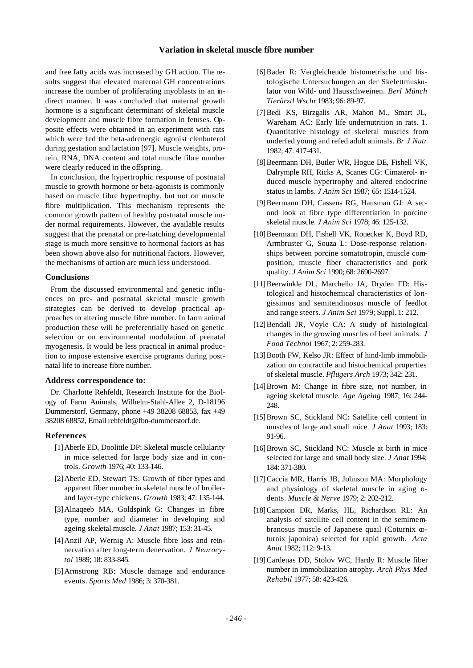and free fatty acids was increased by GH action. The results suggest that elevated maternal GH concentrations increase the number of proliferating myoblasts in an indirect manner. It was concluded that maternal growth hormone is a significant determinant of skeletal muscle development and muscle fibre formation in fetuses. Opposite effects were obtained in an experiment with rats which were fed the beta-adrenergic agonist clenbuterol during gestation and lactation [97]. Muscle weights, protein, RNA, DNA content and total muscle fibre number were clearly reduced in the offspring.

In conclusion, the hypertrophic response of postnatal muscle to growth hormone or beta-agonists is commonly based on muscle fibre hypertrophy, but not on muscle fibre multiplication. This mechanism represents the common growth pattern of healthy postnatal muscle under normal requirements. However, the available results suggest that the prenatal or pre-hatching developmental stage is much more sensitive to hormonal factors as has been shown above also for nutritional factors. However, the mechanisms of action are much less understood.

#### **Conclusions**

From the discussed environmental and genetic influences on pre- and postnatal skeletal muscle growth strategies can be derived to develop practical approaches to altering muscle fibre number. In farm animal production these will be preferentially based on genetic selection or on environmental modulation of prenatal myogenesis. It would be less practical in animal production to impose extensive exercise programs during postnatal life to increase fibre number.

#### **Address correspondence to:**

Dr. Charlotte Rehfeldt, Research Institute for the Biology of Farm Animals, Wilhelm-Stahl-Allee 2, D-18196 Dummerstorf, Germany, phone +49 38208 68853, fax +49 38208 68852, Email rehfeldt@fbn-dummerstorf.de.

#### **References**

- [1]Aberle ED, Doolittle DP: Skeletal muscle cellularity in mice selected for large body size and in controls. *Growth* 1976; 40: 133-146.
- [2]Aberle ED, Stewart TS: Growth of fiber types and apparent fiber number in skeletal muscle of broilerand layer-type chickens. *Growth* 1983; 47: 135-144.
- [3]Alnaqeeb MA, Goldspink G: Changes in fibre type, number and diameter in developing and ageing skeletal muscle. *J Anat* 1987; 153: 31-45.
- [4]Anzil AP, Wernig A: Muscle fibre loss and reinnervation after long-term denervation. *J Neurocytol* 1989; 18: 833-845.
- [5]Armstrong RB: Muscle damage and endurance events. *Sports Med* 1986; 3: 370-381.
- [6]Bader R: Vergleichende histometrische und histologische Untersuchungen an der Skelettmuskulatur von Wild- und Hausschweinen. *Berl Münch Tierärztl Wschr* 1983; 96: 89-97.
- [7]Bedi KS, Birzgalis AR, Mahon M., Smart JL, Wareham AC: Early life undernutrition in rats. 1. Quantitative histology of skeletal muscles from underfed young and refed adult animals. *Br J Nutr* 1982; 47: 417-431.
- [8] Beermann DH, Butler WR, Hogue DE, Fishell VK, Dalrymple RH, Ricks A, Scanes CG: Cimaterol- induced muscle hypertrophy and altered endocrine status in lambs. *J Anim Sci* 1987; 65**:** 1514-1524.
- [9]Beermann DH, Cassens RG, Hausman GJ: A second look at fibre type differentiation in porcine skeletal muscle. *J Anim Sci* 1978; 46: 125-132.
- [10] Beermann DH, Fishell VK, Ronecker K, Boyd RD, Armbruster G, Souza L: Dose-response relationships between porcine somatotropin, muscle composition, muscle fiber characteristics and pork quality. *J Anim Sci* 1990; 68: 2690-2697.
- [11]Beerwinkle DL, Marchello JA, Dryden FD: Histological and histochemical characteristics of longissimus and semitendinosus muscle of feedlot and range steers. *J Anim Sci* 1979; Suppl. 1: 212.
- [12]Bendall JR, Voyle CA: A study of histological changes in the growing muscles of beef animals. *J Food Technol* 1967; 2: 259-283.
- [13] Booth FW, Kelso JR: Effect of hind-limb immobilization on contractile and histochemical properties of skeletal muscle. *Pflügers Arch* 1973; 342: 231.
- [14]Brown M: Change in fibre size, not number, in ageing skeletal muscle. *Age Ageing* 1987; 16: 244- 248.
- [15] Brown SC, Stickland NC: Satellite cell content in muscles of large and small mice. *J Anat* 1993; 183: 91-96.
- [16] Brown SC, Stickland NC: Muscle at birth in mice selected for large and small body size. *J Anat* 1994; 184: 371-380.
- [17]Caccia MR, Harris JB, Johnson MA: Morphology and physiology of skeletal muscle in aging pdents. *Muscle & Nerve* 1979; 2: 202-212.
- [18] Campion DR, Marks, HL, Richardson RL: An analysis of satellite cell content in the semimembranosus muscle of Japanese quail (Coturnix  $\infty$ turnix japonica) selected for rapid growth. *Acta Anat* 1982; 112: 9-13.
- [19]Cardenas DD, Stolov WC, Hardy R: Muscle fiber number in immobilization atrophy. *Arch Phys Med Rehabil* 1977; 58: 423-426.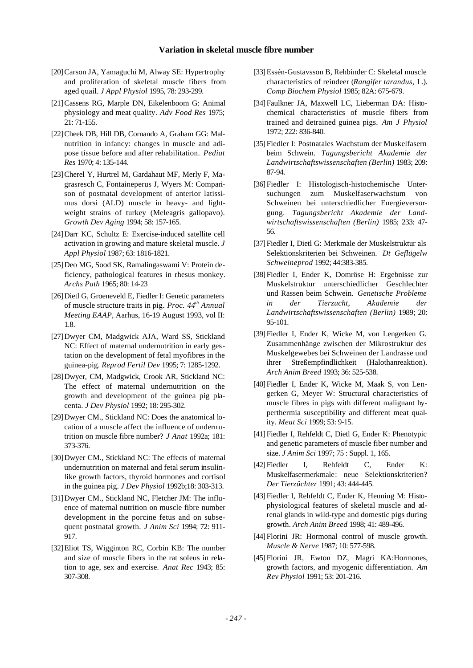- [20]Carson JA, Yamaguchi M, Alway SE: Hypertrophy and proliferation of skeletal muscle fibers from aged quail. *J Appl Physiol* 1995, 78: 293-299.
- [21]Cassens RG, Marple DN, Eikelenboom G: Animal physiology and meat quality. *Adv Food Res* 1975; 21: 71-155.
- [22]Cheek DB, Hill DB, Cornando A, Graham GG: Malnutrition in infancy: changes in muscle and adipose tissue before and after rehabilitation. *Pediat Res* 1970; 4: 135-144.
- [23]Cherel Y, Hurtrel M, Gardahaut MF, Merly F, Magrasresch C, Fontaineperus J, Wyers M: Comparison of postnatal development of anterior latissimus dorsi (ALD) muscle in heavy- and lightweight strains of turkey (Meleagris gallopavo). *Growth Dev Aging* 1994; 58: 157-165.
- [24]Darr KC, Schultz E: Exercise-induced satellite cell activation in growing and mature skeletal muscle. *J Appl Physiol* 1987; 63: 1816-1821.
- [25]Deo MG, Sood SK, Ramalingaswami V: Protein deficiency, pathological features in rhesus monkey. *Archs Path* 1965; 80: 14-23
- [26] Dietl G, Groeneveld E, Fiedler I: Genetic parameters of muscle structure traits in pig. *Proc. 44th Annual Meeting EAAP*, Aarhus, 16-19 August 1993, vol II: 1.8.
- [27]Dwyer CM, Madgwick AJA, Ward SS, Stickland NC: Effect of maternal undernutrition in early gestation on the development of fetal myofibres in the guinea-pig. *Reprod Fertil Dev* 1995; 7: 1285-1292.
- [28]Dwyer, CM, Madgwick, Crook AR, Stickland NC: The effect of maternal undernutrition on the growth and development of the guinea pig placenta. *J Dev Physiol* 1992; 18: 295-302.
- [29]Dwyer CM., Stickland NC: Does the anatomical location of a muscle affect the influence of undernutrition on muscle fibre number? *J Anat* 1992a; 181: 373-376.
- [30] Dwyer CM., Stickland NC: The effects of maternal undernutrition on maternal and fetal serum insulinlike growth factors, thyroid hormones and cortisol in the guinea pig. *J Dev Physiol* 1992b;18: 303-313.
- [31]Dwyer CM., Stickland NC, Fletcher JM: The influence of maternal nutrition on muscle fibre number development in the porcine fetus and on subsequent postnatal growth. *J Anim Sci* 1994; 72: 911- 917.
- [32]Eliot TS, Wigginton RC, Corbin KB: The number and size of muscle fibers in the rat soleus in relation to age, sex and exercise. *Anat Rec* 1943; 85: 307-308.
- [33]Essén-Gustavsson B, Rehbinder C: Skeletal muscle characteristics of reindeer (*Rangifer tarandus,* L.). *Comp Biochem Physiol* 1985; 82A: 675-679.
- [34]Faulkner JA, Maxwell LC, Lieberman DA: Histochemical characteristics of muscle fibers from trained and detrained guinea pigs. *Am J Physiol* 1972; 222: 836-840.
- [35]Fiedler I: Postnatales Wachstum der Muskelfasern beim Schwein. *Tagungsbericht Akademie der Landwirtschaftswissenschaften (Berlin)* 1983; 209: 87-94.
- [36]Fiedler I: Histologisch-histochemische Untersuchungen zum Muskelfaserwachstum von Schweinen bei unterschiedlicher Energieversorgung. *Tagungsbericht Akademie der Landwirtschaftswissenschaften (Berlin)* 1985; 233: 47- 56.
- [37]Fiedler I, Dietl G: Merkmale der Muskelstruktur als Selektionskriterien bei Schweinen. *Dt Geflügelw Schweineprod* 1992; 44:383-385.
- [38]Fiedler I, Ender K, Domröse H: Ergebnisse zur Muskelstruktur unterschiedlicher Geschlechter und Rassen beim Schwein. *Genetische Probleme in der Tierzucht*, *Akademie der Landwirtschaftswissenschaften (Berlin)* 1989; 20: 95-101.
- [39]Fiedler I, Ender K, Wicke M, von Lengerken G. Zusammenhänge zwischen der Mikrostruktur des Muskelgewebes bei Schweinen der Landrasse und ihrer Streßempfindlichkeit (Halothanreaktion). *Arch Anim Breed* 1993; 36: 525-538.
- [40]Fiedler I, Ender K, Wicke M, Maak S, von Lengerken G, Meyer W: Structural characteristics of muscle fibres in pigs with different malignant hyperthermia susceptibility and different meat quality. *Meat Sci* 1999; 53: 9-15.
- [41]Fiedler I, Rehfeldt C, Dietl G, Ender K: Phenotypic and genetic parameters of muscle fiber number and size. *J Anim Sci* 1997; 75 : Suppl. 1, 165.
- [42]Fiedler I, Rehfeldt C, Ender K: Muskelfasermerkmale: neue Selektionskriterien? *Der Tierzüchter* 1991; 43: 444-445.
- [43]Fiedler I, Rehfeldt C, Ender K, Henning M: Histophysiological features of skeletal muscle and adrenal glands in wild-type and domestic pigs during growth. *Arch Anim Breed* 1998; 41: 489-496.
- [44] Florini JR: Hormonal control of muscle growth. *Muscle & Nerve* 1987; 10: 577-598.
- [45]Florini JR, Ewton DZ, Magri KA:Hormones, growth factors, and myogenic differentiation. *Am Rev Physiol* 1991; 53: 201-216.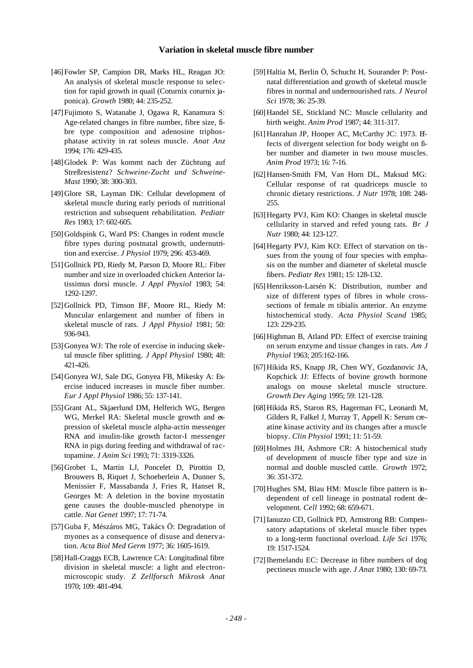- [46]Fowler SP, Campion DR, Marks HL, Reagan JO: An analysis of skeletal muscle response to selection for rapid growth in quail (Coturnix coturnix japonica). *Growth* 1980; 44: 235-252.
- [47]Fujimoto S, Watanabe J, Ogawa R, Kanamura S: Age-related changes in fibre number, fibre size, fibre type composition and adenosine triphosphatase activity in rat soleus muscle. *Anat Anz* 1994; 176: 429-435.
- [48]Glodek P: Was kommt nach der Züchtung auf Streßresistenz? *Schweine-Zucht und Schweine-Mast* 1990; 38: 300-303.
- [49]Glore SR, Layman DK: Cellular development of skeletal muscle during early periods of nutritional restriction and subsequent rehabilitation. *Pediatr Res* 1983; 17: 602-605.
- [50] Goldspink G, Ward PS: Changes in rodent muscle fibre types during postnatal growth, undernutrition and exercise. *J Physiol* 1979; 296: 453-469.
- [51] Gollnick PD, Riedy M, Parson D, Moore RL: Fiber number and size in overloaded chicken Anterior latissimus dorsi muscle. *J Appl Physiol* 1983; 54: 1292-1297.
- [52] Gollnick PD, Timson BF, Moore RL, Riedy M: Muscular enlargement and number of fibers in skeletal muscle of rats. *J Appl Physiol* 1981; 50: 936-943.
- [53] Gonyea WJ: The role of exercise in inducing skeletal muscle fiber splitting. *J Appl Physiol* 1980; 48: 421-426.
- [54]Gonyea WJ, Sale DG, Gonyea FB, Mikesky A: Exercise induced increases in muscle fiber number. *Eur J Appl Physiol* 1986; 55: 137-141.
- [55]Grant AL, Skjaerlund DM, Helferich WG, Bergen WG, Merkel RA: Skeletal muscle growth and expression of skeletal muscle alpha-actin messenger RNA and insulin-like growth factor-I messenger RNA in pigs during feeding and withdrawal of ractopamine. *J Anim Sci* 1993; 71: 3319-3326.
- [56]Grobet L, Martin LJ, Poncelet D, Pirottin D, Brouwers B, Riquet J, Schoeberlein A, Dunner S, Menissier F, Massabanda J, Fries R, Hanset R, Georges M: A deletion in the bovine myostatin gene causes the double-muscled phenotype in cattle. *Nat Genet* 1997; 17: 71-74.
- [57]Guba F, Mészáros MG, Takács Ö: Degradation of myones as a consequence of disuse and denervation. *Acta Biol Med Germ* 1977; 36: 1605-1619.
- [58]Hall-Craggs ECB, Lawrence CA: Longitudinal fibre division in skeletal muscle: a light and electronmicroscopic study. *Z Zellforsch Mikrosk Anat* 1970; 109: 481-494.
- [59]Haltia M, Berlin Ö, Schucht H, Sourander P: Postnatal differentiation and growth of skeletal muscle fibres in normal and undernourished rats. *J Neurol Sci* 1978; 36: 25-39.
- [60]Handel SE, Stickland NC: Muscle cellularity and birth weight. *Anim Prod* 1987; 44: 311-317.
- [61]Hanrahan JP, Hooper AC, McCarthy JC: 1973. Effects of divergent selection for body weight on fiber number and diameter in two mouse muscles. *Anim Prod* 1973; 16: 7-16.
- [62]Hansen-Smith FM, Van Horn DL, Maksud MG: Cellular response of rat quadriceps muscle to chronic dietary restrictions. *J Nutr* 1978; 108: 248- 255.
- [63]Hegarty PVJ, Kim KO: Changes in skeletal muscle cellularity in starved and refed young rats. *Br J Nutr* 1980; 44: 123-127.
- [64]Hegarty PVJ, Kim KO: Effect of starvation on tissues from the young of four species with emphasis on the number and diameter of skeletal muscle fibers. *Pediatr Res* 1981; 15: 128-132.
- [65] Henriksson-Larsén K: Distribution, number and size of different types of fibres in whole crosssections of female m tibialis anterior. An enzyme histochemical study. *Acta Physiol Scand* 1985; 123: 229-235.
- [66] Highman B, Atland PD: Effect of exercise training on serum enzyme and tissue changes in rats. *Am J Physiol* 1963; 205:162-166.
- [67]Hikida RS, Knapp JR, Chen WY, Gozdanovic JA, Kopchick JJ: Effects of bovine growth hormone analogs on mouse skeletal muscle structure. *Growth Dev Aging* 1995; 59: 121-128.
- [68]Hikida RS, Staron RS, Hagerman FC, Leonardi M, Gilders R, Falkel J, Murray T, Appell K: Serum creatine kinase activity and its changes after a muscle biopsy. *Clin Physiol* 1991; 11: 51-59.
- [69]Holmes JH, Ashmore CR: A histochemical study of development of muscle fiber type and size in normal and double muscled cattle. *Growth* 1972; 36: 351-372.
- [70] Hughes SM, Blau HM: Muscle fibre pattern is independent of cell lineage in postnatal rodent development. *Cell* 1992; 68: 659-671.
- [71]Ianuzzo CD, Gollnick PD, Armstrong RB: Compensatory adaptations of skeletal muscle fiber types to a long-term functional overload. *Life Sci* 1976; 19: 1517-1524.
- [72]Ihemelandu EC: Decrease in fibre numbers of dog pectineus muscle with age. *J Anat* 1980; 130: 69-73.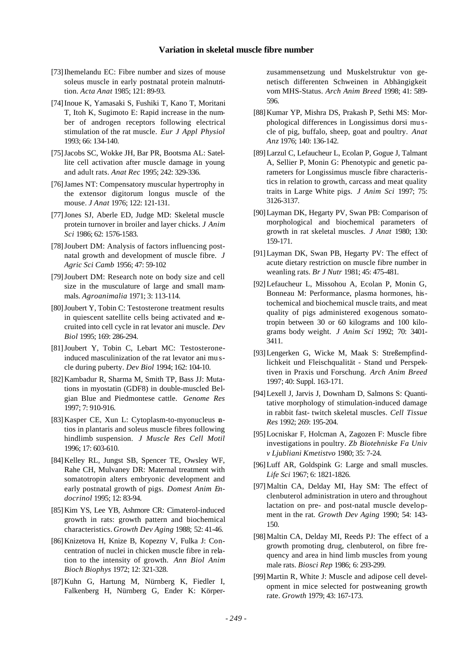- [73]Ihemelandu EC: Fibre number and sizes of mouse soleus muscle in early postnatal protein malnutrition. *Acta Anat* 1985; 121: 89-93.
- [74]Inoue K, Yamasaki S, Fushiki T, Kano T, Moritani T, Itoh K, Sugimoto E: Rapid increase in the number of androgen receptors following electrical stimulation of the rat muscle. *Eur J Appl Physiol* 1993; 66: 134-140.
- [75]Jacobs SC, Wokke JH, Bar PR, Bootsma AL: Satellite cell activation after muscle damage in young and adult rats. *Anat Rec* 1995; 242: 329-336.
- [76]James NT: Compensatory muscular hypertrophy in the extensor digitorum longus muscle of the mouse. *J Anat* 1976; 122: 121-131.
- [77]Jones SJ, Aberle ED, Judge MD: Skeletal muscle protein turnover in broiler and layer chicks. *J Anim Sci* 1986; 62: 1576-1583.
- [78]Joubert DM: Analysis of factors influencing postnatal growth and development of muscle fibre. *J Agric Sci Camb* 1956; 47: 59-102
- [79]Joubert DM: Research note on body size and cell size in the musculature of large and small mammals. *Agroanimalia* 1971; 3: 113-114.
- [80]Joubert Y, Tobin C: Testosterone treatment results in quiescent satellite cells being activated and recruited into cell cycle in rat levator ani muscle. *Dev Biol* 1995; 169: 286-294.
- [81]Joubert Y, Tobin C, Lebart MC: Testosteroneinduced masculinization of the rat levator ani mu scle during puberty. *Dev Biol* 1994; 162: 104-10.
- [82]Kambadur R, Sharma M, Smith TP, Bass JJ: Mutations in myostatin (GDF8) in double-muscled Belgian Blue and Piedmontese cattle. *Genome Res* 1997; 7: 910-916.
- [83] Kasper CE, Xun L: Cytoplasm-to-myonucleus ntios in plantaris and soleus muscle fibres following hindlimb suspension. *J Muscle Res Cell Motil* 1996; 17: 603-610.
- [84] Kelley RL, Jungst SB, Spencer TE, Owsley WF, Rahe CH, Mulvaney DR: Maternal treatment with somatotropin alters embryonic development and early postnatal growth of pigs. *Domest Anim Endocrinol* 1995; 12: 83-94.
- [85]Kim YS, Lee YB, Ashmore CR: Cimaterol-induced growth in rats: growth pattern and biochemical characteristics. *Growth Dev Aging* 1988; 52: 41-46.
- [86]Knizetova H, Knize B, Kopezny V, Fulka J: Concentration of nuclei in chicken muscle fibre in relation to the intensity of growth. *Ann Biol Anim Bioch Biophys* 1972; 12: 321-328.
- [87]Kuhn G, Hartung M, Nürnberg K, Fiedler I, Falkenberg H, Nürnberg G, Ender K: Körper-

zusammensetzung und Muskelstruktur von genetisch differenten Schweinen in Abhängigkeit vom MHS-Status. *Arch Anim Breed* 1998; 41: 589- 596.

- [88]Kumar YP, Mishra DS, Prakash P, Sethi MS: Morphological differences in Longissimus dorsi mu scle of pig, buffalo, sheep, goat and poultry. *Anat Anz* 1976; 140: 136-142.
- [89]Larzul C, Lefaucheur L, Ecolan P, Gogue J, Talmant A, Sellier P, Monin G: Phenotypic and genetic parameters for Longissimus muscle fibre characteristics in relation to growth, carcass and meat quality traits in Large White pigs. *J Anim Sci* 1997; 75: 3126-3137.
- [90]Layman DK, Hegarty PV, Swan PB: Comparison of morphological and biochemical parameters of growth in rat skeletal muscles. *J Anat* 1980; 130: 159-171.
- [91]Layman DK, Swan PB, Hegarty PV: The effect of acute dietary restriction on muscle fibre number in weanling rats. *Br J Nutr* 1981; 45: 475-481.
- [92]Lefaucheur L, Missohou A, Ecolan P, Monin G, Bonneau M: Performance, plasma hormones, histochemical and biochemical muscle traits, and meat quality of pigs administered exogenous somatotropin between 30 or 60 kilograms and 100 kilograms body weight. *J Anim Sci* 1992; 70: 3401- 3411.
- [93]Lengerken G, Wicke M, Maak S: Streßempfindlichkeit und Fleischqualität - Stand und Perspektiven in Praxis und Forschung. *Arch Anim Breed* 1997; 40: Suppl. 163-171.
- [94]Lexell J, Jarvis J, Downham D, Salmons S: Quantitative morphology of stimulation-induced damage in rabbit fast- twitch skeletal muscles. *Cell Tissue Res* 1992; 269: 195-204.
- [95]Locniskar F, Holcman A, Zagozen F: Muscle fibre investigations in poultry. *Zb Biotehniske Fa Univ v Ljubliani Kmetistvo* 1980; 35: 7-24.
- [96] Luff AR, Goldspink G: Large and small muscles. *Life Sci* 1967; 6: 1821-1826.
- [97]Maltin CA, Delday MI, Hay SM: The effect of clenbuterol administration in utero and throughout lactation on pre- and post-natal muscle development in the rat*. Growth Dev Aging* 1990; 54: 143- 150.
- [98] Maltin CA, Delday MI, Reeds PJ: The effect of a growth promoting drug, clenbuterol, on fibre frequency and area in hind limb muscles from young male rats. *Biosci Rep* 1986; 6: 293-299.
- [99]Martin R, White J: Muscle and adipose cell development in mice selected for postweaning growth rate. *Growth* 1979; 43: 167-173.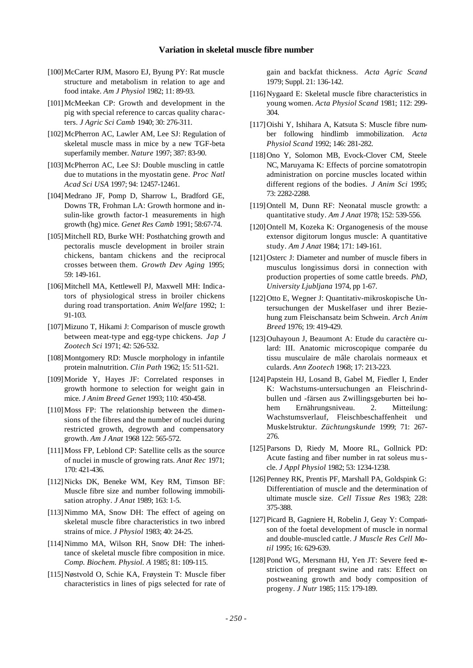- [100]McCarter RJM, Masoro EJ, Byung PY: Rat muscle structure and metabolism in relation to age and food intake. *Am J Physiol* 1982; 11: 89-93.
- [101]McMeekan CP: Growth and development in the pig with special reference to carcas quality characters. *J Agric Sci Camb* 1940; 30: 276-311.
- [102]McPherron AC, Lawler AM, Lee SJ: Regulation of skeletal muscle mass in mice by a new TGF-beta superfamily member. *Nature* 1997; 387: 83-90.
- [103]McPherron AC, Lee SJ: Double muscling in cattle due to mutations in the myostatin gene. *Proc Natl Acad Sci USA* 1997; 94: 12457-12461.
- [104]Medrano JF, Pomp D, Sharrow L, Bradford GE, Downs TR, Frohman LA: Growth hormone and insulin-like growth factor-1 measurements in high growth (hg) mice*. Genet Res Camb* 1991; 58:67-74.
- [105] Mitchell RD, Burke WH: Posthatching growth and pectoralis muscle development in broiler strain chickens, bantam chickens and the reciprocal crosses between them. *Growth Dev Aging* 1995; 59: 149-161.
- [106]Mitchell MA, Kettlewell PJ, Maxwell MH: Indicators of physiological stress in broiler chickens during road transportation. *Anim Welfare* 1992; 1: 91-103.
- [107]Mizuno T, Hikami J: Comparison of muscle growth between meat-type and egg-type chickens. *Jap J Zootech Sci* 1971; 42: 526-532.
- [108]Montgomery RD: Muscle morphology in infantile protein malnutrition. *Clin Path* 1962; 15: 511-521.
- [109]Moride Y, Hayes JF: Correlated responses in growth hormone to selection for weight gain in mice. *J Anim Breed Genet* 1993; 110: 450-458.
- [110]Moss FP: The relationship between the dimensions of the fibres and the number of nuclei during restricted growth, degrowth and compensatory growth. *Am J Anat* 1968 122: 565-572.
- [111] Moss FP, Leblond CP: Satellite cells as the source of nuclei in muscle of growing rats. *Anat Rec* 1971; 170: 421-436.
- [112]Nicks DK, Beneke WM, Key RM, Timson BF: Muscle fibre size and number following immobilisation atrophy. *J Anat* 1989; 163: 1-5.
- [113]Nimmo MA, Snow DH: The effect of ageing on skeletal muscle fibre characteristics in two inbred strains of mice. *J Physiol* 1983; 40: 24-25.
- [114]Nimmo MA, Wilson RH, Snow DH: The inheritance of skeletal muscle fibre composition in mice. *Comp. Biochem. Physiol. A* 1985; 81: 109-115.
- [115]Nøstvold O, Schie KA, Frøystein T: Muscle fiber characteristics in lines of pigs selected for rate of

gain and backfat thickness. *Acta Agric Scand* 1979; Suppl. 21: 136-142.

- [116]Nygaard E: Skeletal muscle fibre characteristics in young women. *Acta Physiol Scand* 1981; 112: 299- 304.
- [117]Oishi Y, Ishihara A, Katsuta S: Muscle fibre number following hindlimb immobilization. *Acta Physiol Scand* 1992; 146: 281-282.
- [118]Ono Y, Solomon MB, Evock-Clover CM, Steele NC, Maruyama K: Effects of porcine somatotropin administration on porcine muscles located within different regions of the bodies. *J Anim Sci* 1995; 73: 2282-2288.
- [119]Ontell M, Dunn RF: Neonatal muscle growth: a quantitative study. *Am J Anat* 1978; 152: 539-556.
- [120] Ontell M, Kozeka K: Organogenesis of the mouse extensor digitorum longus muscle: A quantitative study. *Am J Anat* 1984; 171: 149-161.
- [121] Osterc J: Diameter and number of muscle fibers in musculus longissimus dorsi in connection with production properties of some cattle breeds. *PhD, University Ljubljana* 1974, pp 1-67.
- [122] Otto E, Wegner J: Quantitativ-mikroskopische Untersuchungen der Muskelfaser und ihrer Beziehung zum Fleischansatz beim Schwein. *Arch Anim Breed* 1976; 19: 419-429.
- [123]Ouhayoun J, Beaumont A: Etude du caractère culard: III. Anatomic microscopique comparée du tissu musculaire de mâle charolais normeaux et culards. *Ann Zootech* 1968; 17: 213-223.
- [124]Papstein HJ, Losand B, Gabel M, Fiedler I, Ender K: Wachstums-untersuchungen an Fleischrindbullen und -färsen aus Zwillingsgeburten bei hohem Ernährungsniveau. 2. Mitteilung: Wachstumsverlauf, Fleischbeschaffenheit und Muskelstruktur. *Züchtungskunde* 1999; 71: 267- 276.
- [125]Parsons D, Riedy M, Moore RL, Gollnick PD: Acute fasting and fiber number in rat soleus mu scle. *J Appl Physiol* 1982; 53: 1234-1238.
- [126] Penney RK, Prentis PF, Marshall PA, Goldspink G: Differentiation of muscle and the determination of ultimate muscle size. *Cell Tissue Res* 1983; 228: 375-388.
- [127]Picard B, Gagniere H, Robelin J, Geay Y: Comparison of the foetal development of muscle in normal and double-muscled cattle. *J Muscle Res Cell Motil* 1995; 16: 629-639.
- [128] Pond WG, Mersmann HJ, Yen JT: Severe feed restriction of pregnant swine and rats: Effect on postweaning growth and body composition of progeny. *J Nutr* 1985; 115: 179-189.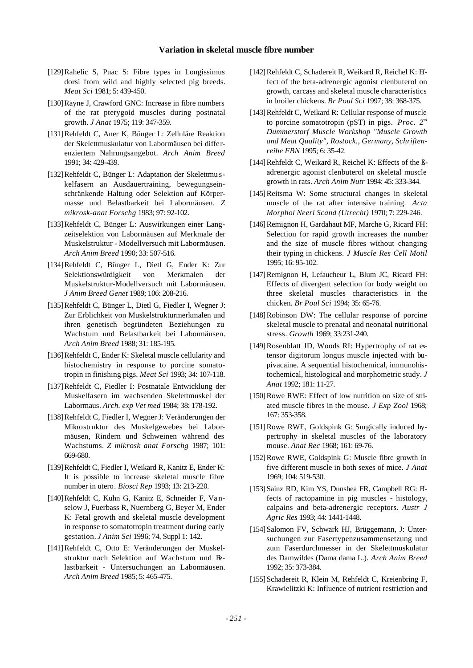- [129]Rahelic S, Puac S: Fibre types in Longissimus dorsi from wild and highly selected pig breeds. *Meat Sci* 1981; 5: 439-450.
- [130]Rayne J, Crawford GNC: Increase in fibre numbers of the rat pterygoid muscles during postnatal growth. *J Anat* 1975; 119: 347-359.
- [131]Rehfeldt C, Aner K, Bünger L: Zelluläre Reaktion der Skelettmuskulatur von Labormäusen bei differenziertem Nahrungsangebot. *Arch Anim Breed* 1991; 34: 429-439.
- [132] Rehfeldt C, Bünger L: Adaptation der Skelettmu skelfasern an Ausdauertraining, bewegungseinschränkende Haltung oder Selektion auf Körpermasse und Belastbarkeit bei Labormäusen. *Z mikrosk-anat Forschg* 1983; 97: 92-102.
- [133]Rehfeldt C, Bünger L: Auswirkungen einer Langzeitselektion von Labormäusen auf Merkmale der Muskelstruktur - Modellversuch mit Labormäusen. *Arch Anim Breed* 1990; 33: 507-516.
- [134]Rehfeldt C, Bünger L, Dietl G, Ender K: Zur Selektionswürdigkeit von Merkmalen der Muskelstruktur-Modellversuch mit Labormäusen. *J Anim Breed Genet* 1989; 106: 208-216.
- [135] Rehfeldt C, Bünger L, Dietl G, Fiedler I, Wegner J: Zur Erblichkeit von Muskelstrukturmerkmalen und ihren genetisch begründeten Beziehungen zu Wachstum und Belastbarkeit bei Labormäusen. *Arch Anim Breed* 1988; 31: 185-195.
- [136] Rehfeldt C, Ender K: Skeletal muscle cellularity and histochemistry in response to porcine somatotropin in finishing pigs. *Meat Sci* 1993; 34: 107-118.
- [137]Rehfeldt C, Fiedler I: Postnatale Entwicklung der Muskelfasern im wachsenden Skelettmuskel der Labormaus. *Arch. exp Vet med* 1984; 38: 178-192.
- [138] Rehfeldt C, Fiedler I, Wegner J: Veränderungen der Mikrostruktur des Muskelgewebes bei Labormäusen, Rindern und Schweinen während des Wachstums. *Z mikrosk anat Forschg* 1987; 101: 669-680.
- [139]Rehfeldt C, Fiedler I, Weikard R, Kanitz E, Ender K: It is possible to increase skeletal muscle fibre number in utero*. Biosci Rep* 1993; 13: 213-220.
- [140]Rehfeldt C, Kuhn G, Kanitz E, Schneider F, Vanselow J, Fuerbass R, Nuernberg G, Beyer M, Ender K: Fetal growth and skeletal muscle development in response to somatotropin treatment during early gestation. *J Anim Sci* 1996; 74, Suppl 1: 142.
- [141]Rehfeldt C, Otto E: Veränderungen der Muskelstruktur nach Selektion auf Wachstum und Belastbarkeit - Untersuchungen an Labormäusen. *Arch Anim Breed* 1985; 5: 465-475.
- [142]Rehfeldt C, Schadereit R, Weikard R, Reichel K: Effect of the beta-adrenergic agonist clenbuterol on growth, carcass and skeletal muscle characteristics in broiler chickens. *Br Poul Sci* 1997; 38: 368-375.
- [143]Rehfeldt C, Weikard R: Cellular response of muscle to porcine somatotropin (pST) in pigs. *Proc. 2nd Dummerstorf Muscle Workshop "Muscle Growth and Meat Quality", Rostock., Germany, Schriftenreihe FBN* 1995; 6: 35-42.
- [144] Rehfeldt C, Weikard R, Reichel K: Effects of the ßadrenergic agonist clenbuterol on skeletal muscle growth in rats. *Arch Anim Nutr* 1994: 45: 333-344.
- [145]Reitsma W: Some structural changes in skeletal muscle of the rat after intensive training. *Acta Morphol Neerl Scand (Utrecht)* 1970; 7: 229-246.
- [146]Remignon H, Gardahaut MF, Marche G, Ricard FH: Selection for rapid growth increases the number and the size of muscle fibres without changing their typing in chickens. *J Muscle Res Cell Motil* 1995; 16: 95-102.
- [147]Remignon H, Lefaucheur L, Blum JC, Ricard FH: Effects of divergent selection for body weight on three skeletal muscles characteristics in the chicken. *Br Poul Sci* 1994; 35: 65-76.
- [148]Robinson DW: The cellular response of porcine skeletal muscle to prenatal and neonatal nutritional stress. *Growth* 1969; 33:231-240.
- [149] Rosenblatt JD, Woods RI: Hypertrophy of rat extensor digitorum longus muscle injected with bupivacaine. A sequential histochemical, immunohistochemical, histological and morphometric study. *J Anat* 1992; 181: 11-27.
- [150] Rowe RWE: Effect of low nutrition on size of striated muscle fibres in the mouse. *J Exp Zool* 1968; 167: 353-358.
- [151] Rowe RWE, Goldspink G: Surgically induced hypertrophy in skeletal muscles of the laboratory mouse. *Anat Rec* 1968; 161: 69-76.
- [152]Rowe RWE, Goldspink G: Muscle fibre growth in five different muscle in both sexes of mice. *J Anat* 1969; 104: 519-530.
- [153] Sainz RD, Kim YS, Dunshea FR, Campbell RG: Hfects of ractopamine in pig muscles - histology, calpains and beta-adrenergic receptors. *Austr J Agric Res* 1993; 44: 1441-1448.
- [154] Salomon FV, Schwark HJ, Brüggemann, J: Untersuchungen zur Fasertypenzusammensetzung und zum Faserdurchmesser in der Skelettmuskulatur des Damwildes (Dama dama L.). *Arch Anim Breed* 1992; 35: 373-384.
- [155] Schadereit R, Klein M, Rehfeldt C, Kreienbring F, Krawielitzki K: Influence of nutrient restriction and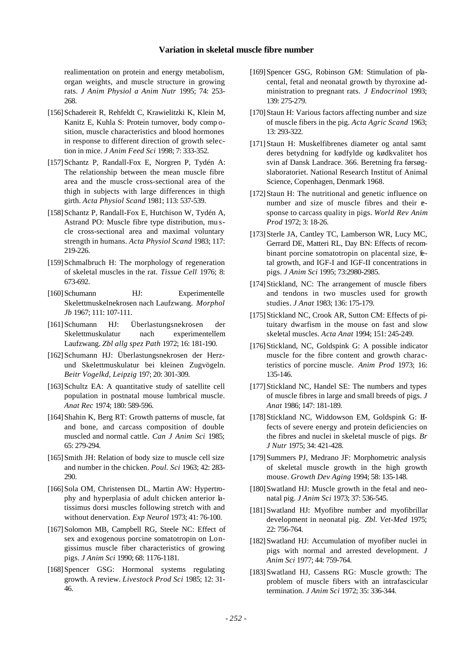realimentation on protein and energy metabolism, organ weights, and muscle structure in growing rats. *J Anim Physiol a Anim Nutr* 1995; 74: 253- 268.

- [156] Schadereit R, Rehfeldt C, Krawielitzki K, Klein M, Kanitz E, Kuhla S: Protein turnover, body comp osition, muscle characteristics and blood hormones in response to different direction of growth selection in mice. *J Anim Feed Sci* 1998; 7: 333-352.
- [157]Schantz P, Randall-Fox E, Norgren P, Tydén A: The relationship between the mean muscle fibre area and the muscle cross-sectional area of the thigh in subjects with large differences in thigh girth. *Acta Physiol Scand* 1981; 113: 537-539.
- [158] Schantz P, Randall-Fox E, Hutchison W, Tydén A, Astrand PO: Muscle fibre type distribution, mu scle cross-sectional area and maximal voluntary strength in humans. *Acta Physiol Scand* 1983; 117: 219-226.
- [159] Schmalbruch H: The morphology of regeneration of skeletal muscles in the rat. *Tissue Cell* 1976; 8: 673-692.
- [160] Schumann HJ: Experimentelle Skelettmuskelnekrosen nach Laufzwang. *Morphol Jb* 1967; 111: 107-111.
- [161]Schumann HJ: Überlastungsnekrosen der Skelettmuskulatur nach experimentellem Laufzwang. *Zbl allg spez Path* 1972; 16: 181-190.
- [162] Schumann HJ: Überlastungsnekrosen der Herzund Skelettmuskulatur bei kleinen Zugvögeln. *Beitr Vogelkd, Leipzig* 197; 20: 301-309.
- [163] Schultz EA: A quantitative study of satellite cell population in postnatal mouse lumbrical muscle. *Anat Rec* 1974; 180: 589-596.
- [164] Shahin K, Berg RT: Growth patterns of muscle, fat and bone, and carcass composition of double muscled and normal cattle. *Can J Anim Sci* 1985; 65: 279-294.
- [165] Smith JH: Relation of body size to muscle cell size and number in the chicken. *Poul. Sci* 1963; 42: 283- 290.
- [166] Sola OM, Christensen DL, Martin AW: Hypertrophy and hyperplasia of adult chicken anterior latissimus dorsi muscles following stretch with and without denervation*. Exp Neurol* 1973; 41: 76-100.
- [167] Solomon MB, Campbell RG, Steele NC: Effect of sex and exogenous porcine somatotropin on Longissimus muscle fiber characteristics of growing pigs. *J Anim Sci* 1990; 68: 1176-1181.
- [168]Spencer GSG: Hormonal systems regulating growth. A review. *Livestock Prod Sci* 1985; 12: 31- 46.
- [169]Spencer GSG, Robinson GM: Stimulation of placental, fetal and neonatal growth by thyroxine administration to pregnant rats. *J Endocrinol* 1993; 139: 275-279.
- [170] Staun H: Various factors affecting number and size of muscle fibers in the pig. *Acta Agric Scand* 1963; 13: 293-322.
- [171]Staun H: Muskelfibrenes diameter og antal samt deres betydning for kødfylde og kødkvalitet hos svin af Dansk Landrace. 366. Beretning fra førsøgslaboratoriet. National Research Institut of Animal Science, Copenhagen, Denmark 1968.
- [172] Staun H: The nutritional and genetic influence on number and size of muscle fibres and their **e**sponse to carcass quality in pigs. *World Rev Anim Prod* 1972; 3: 18-26.
- [173] Sterle JA, Cantley TC, Lamberson WR, Lucy MC, Gerrard DE, Matteri RL, Day BN: Effects of recombinant porcine somatotropin on placental size, fetal growth, and IGF-I and IGF-II concentrations in pigs. *J Anim Sci* 1995; 73:2980-2985.
- [174] Stickland, NC: The arrangement of muscle fibers and tendons in two muscles used for growth studies. *J Anat* 1983; 136: 175-179.
- [175] Stickland NC, Crook AR, Sutton CM: Effects of pituitary dwarfism in the mouse on fast and slow skeletal muscles. *Acta Anat* 1994; 151: 245-249.
- [176] Stickland, NC, Goldspink G: A possible indicator muscle for the fibre content and growth characteristics of porcine muscle. *Anim Prod* 1973; 16: 135-146.
- [177] Stickland NC, Handel SE: The numbers and types of muscle fibres in large and small breeds of pigs. *J Anat* 1986; 147: 181-189.
- [178] Stickland NC, Widdowson EM, Goldspink G: Hfects of severe energy and protein deficiencies on the fibres and nuclei in skeletal muscle of pigs. *Br J Nutr* 1975; 34: 421-428.
- [179]Summers PJ, Medrano JF: Morphometric analysis of skeletal muscle growth in the high growth mouse. *Growth Dev Aging* 1994; 58: 135-148.
- [180] Swatland HJ: Muscle growth in the fetal and neonatal pig. *J Anim Sci* 1973; 37: 536-545.
- [181]Swatland HJ: Myofibre number and myofibrillar development in neonatal pig. *Zbl. Vet-Med* 1975; 22: 756-764.
- [182] Swatland HJ: Accumulation of myofiber nuclei in pigs with normal and arrested development. *J Anim Sci* 1977; 44: 759-764.
- [183]Swatland HJ, Cassens RG: Muscle growth: The problem of muscle fibers with an intrafascicular termination. *J Anim Sci* 1972; 35: 336-344.